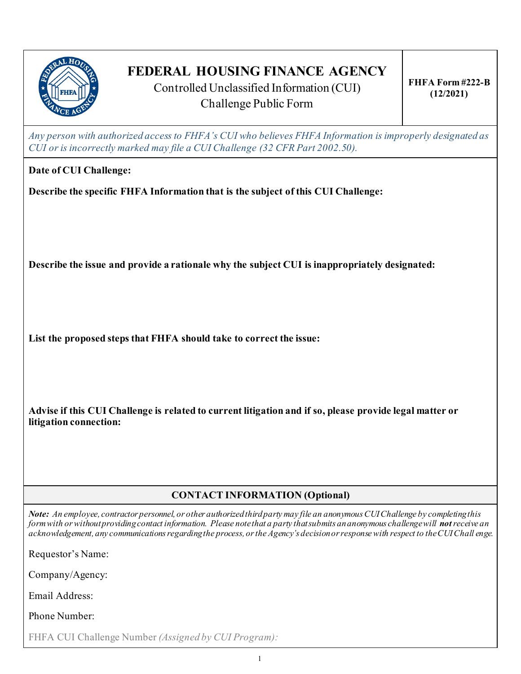

# **FEDERAL HOUSING FINANCE AGENCY**

Controlled Unclassified Information (CUI) Challenge Public Form

*Any person with authorized access to FHFA's CUI who believes FHFA Information is improperly designated as CUI or is incorrectly marked may file a CUI Challenge (32 CFR Part 2002.50).*

**Date of CUI Challenge:**

**Describe the specific FHFA Information that is the subject of this CUI Challenge:**

**Describe the issue and provide a rationale why the subject CUI is inappropriately designated:**

**List the proposed steps that FHFA should take to correct the issue:**

**Advise if this CUI Challenge is related to current litigation and if so, please provide legal matter or litigation connection:**

## **CONTACT INFORMATION (Optional)**

*Note: An employee, contractor personnel, or other authorized third party may file an anonymous CUI Challenge by completing this form with or without providing contact information. Please note that a party that submits an anonymous challenge will notreceive an acknowledgement, any communications regarding the process, or the Agency's decision or response with respect to the CUI Chall enge.*

Requestor's Name:

Company/Agency:

Email Address:

Phone Number:

FHFA CUI Challenge Number *(Assigned by CUI Program):*